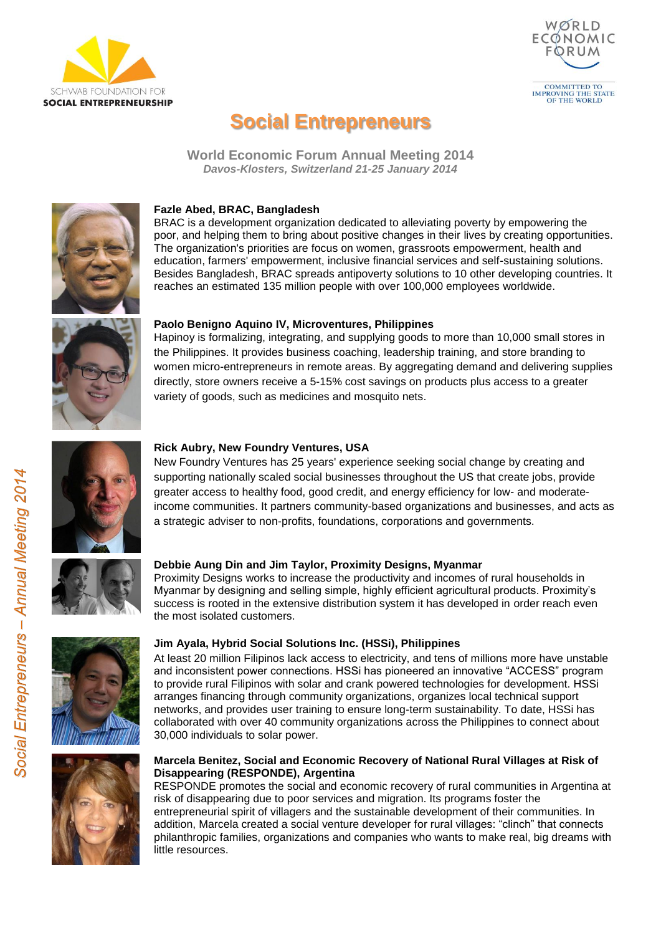



# **Social Entrepreneurs**

**World Economic Forum Annual Meeting 2014** *Davos-Klosters, Switzerland 21-25 January 2014*



# **Fazle Abed, BRAC, Bangladesh**

BRAC is a development organization dedicated to alleviating poverty by empowering the poor, and helping them to bring about positive changes in their lives by creating opportunities. The organization's priorities are focus on women, grassroots empowerment, health and education, farmers' empowerment, inclusive financial services and self-sustaining solutions. Besides Bangladesh, BRAC spreads antipoverty solutions to 10 other developing countries. It reaches an estimated 135 million people with over 100,000 employees worldwide.



### **Paolo Benigno Aquino IV, Microventures, Philippines**

Hapinoy is formalizing, integrating, and supplying goods to more than 10,000 small stores in the Philippines. It provides business coaching, leadership training, and store branding to women micro-entrepreneurs in remote areas. By aggregating demand and delivering supplies directly, store owners receive a 5-15% cost savings on products plus access to a greater variety of goods, such as medicines and mosquito nets.



# **Rick Aubry, New Foundry Ventures, USA**

New Foundry Ventures has 25 years' experience seeking social change by creating and supporting nationally scaled social businesses throughout the US that create jobs, provide greater access to healthy food, good credit, and energy efficiency for low- and moderateincome communities. It partners community-based organizations and businesses, and acts as a strategic adviser to non-profits, foundations, corporations and governments.



# **Debbie Aung Din and Jim Taylor, Proximity Designs, Myanmar**

Proximity Designs works to increase the productivity and incomes of rural households in Myanmar by designing and selling simple, highly efficient agricultural products. Proximity's success is rooted in the extensive distribution system it has developed in order reach even the most isolated customers.





### **Jim Ayala, Hybrid Social Solutions Inc. (HSSi), Philippines**

At least 20 million Filipinos lack access to electricity, and tens of millions more have unstable and inconsistent power connections. HSSi has pioneered an innovative "ACCESS" program to provide rural Filipinos with solar and crank powered technologies for development. HSSi arranges financing through community organizations, organizes local technical support networks, and provides user training to ensure long-term sustainability. To date, HSSi has collaborated with over 40 community organizations across the Philippines to connect about 30,000 individuals to solar power.

# **Marcela Benitez, Social and Economic Recovery of National Rural Villages at Risk of Disappearing (RESPONDE), Argentina**

RESPONDE promotes the social and economic recovery of rural communities in Argentina at risk of disappearing due to poor services and migration. Its programs foster the entrepreneurial spirit of villagers and the sustainable development of their communities. In addition, Marcela created a social venture developer for rural villages: "clinch" that connects philanthropic families, organizations and companies who wants to make real, big dreams with little resources.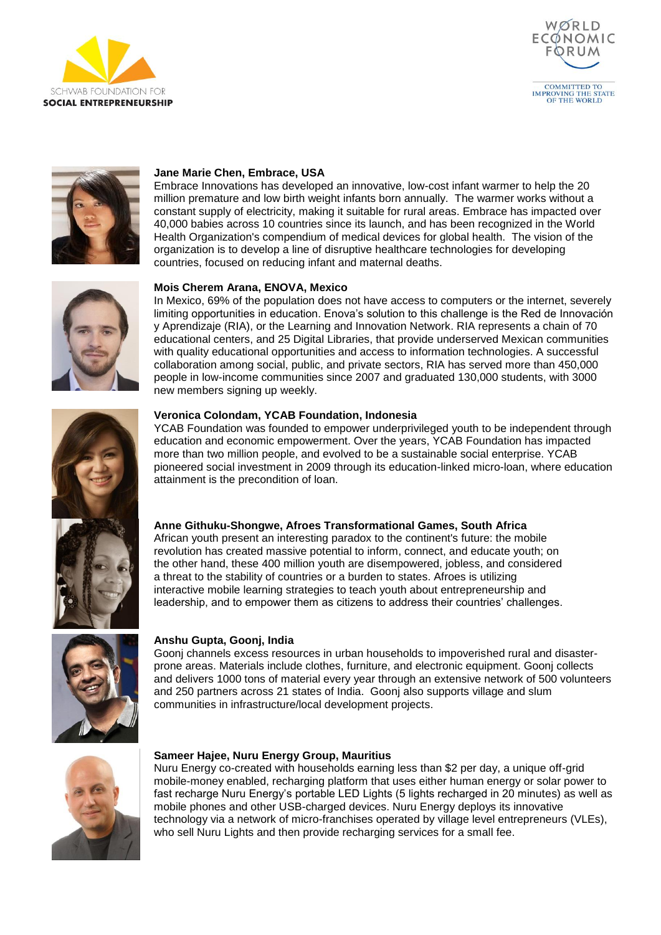





# **Jane Marie Chen, Embrace, USA**

Embrace Innovations has developed an innovative, low-cost infant warmer to help the 20 million premature and low birth weight infants born annually. The warmer works without a constant supply of electricity, making it suitable for rural areas. Embrace has impacted over 40,000 babies across 10 countries since its launch, and has been recognized in the World Health Organization's compendium of medical devices for global health. The vision of the organization is to develop a line of disruptive healthcare technologies for developing countries, focused on reducing infant and maternal deaths.



# **Mois Cherem Arana, ENOVA, Mexico**

In Mexico, 69% of the population does not have access to computers or the internet, severely limiting opportunities in education. Enova's solution to this challenge is the Red de Innovación y Aprendizaje (RIA), or the Learning and Innovation Network. RIA represents a chain of 70 educational centers, and 25 Digital Libraries, that provide underserved Mexican communities with quality educational opportunities and access to information technologies. A successful collaboration among social, public, and private sectors, RIA has served more than 450,000 people in low-income communities since 2007 and graduated 130,000 students, with 3000 new members signing up weekly.



### **Veronica Colondam, YCAB Foundation, Indonesia**

YCAB Foundation was founded to empower underprivileged youth to be independent through education and economic empowerment. Over the years, YCAB Foundation has impacted more than two million people, and evolved to be a sustainable social enterprise. YCAB pioneered social investment in 2009 through its education-linked micro-loan, where education attainment is the precondition of loan.

# **Anne Githuku-Shongwe, Afroes Transformational Games, South Africa**

African youth present an interesting paradox to the continent's future: the mobile revolution has created massive potential to inform, connect, and educate youth; on the other hand, these 400 million youth are disempowered, jobless, and considered a threat to the stability of countries or a burden to states. Afroes is utilizing interactive mobile learning strategies to teach youth about entrepreneurship and leadership, and to empower them as citizens to address their countries' challenges.



### **Anshu Gupta, Goonj, India**

Goonj channels excess resources in urban households to impoverished rural and disasterprone areas. Materials include clothes, furniture, and electronic equipment. Goonj collects and delivers 1000 tons of material every year through an extensive network of 500 volunteers and 250 partners across 21 states of India. Goonj also supports village and slum communities in infrastructure/local development projects.



### **Sameer Hajee, Nuru Energy Group, Mauritius**

Nuru Energy co-created with households earning less than \$2 per day, a unique off-grid mobile-money enabled, recharging platform that uses either human energy or solar power to fast recharge Nuru Energy's portable LED Lights (5 lights recharged in 20 minutes) as well as mobile phones and other USB-charged devices. Nuru Energy deploys its innovative technology via a network of micro-franchises operated by village level entrepreneurs (VLEs), who sell Nuru Lights and then provide recharging services for a small fee.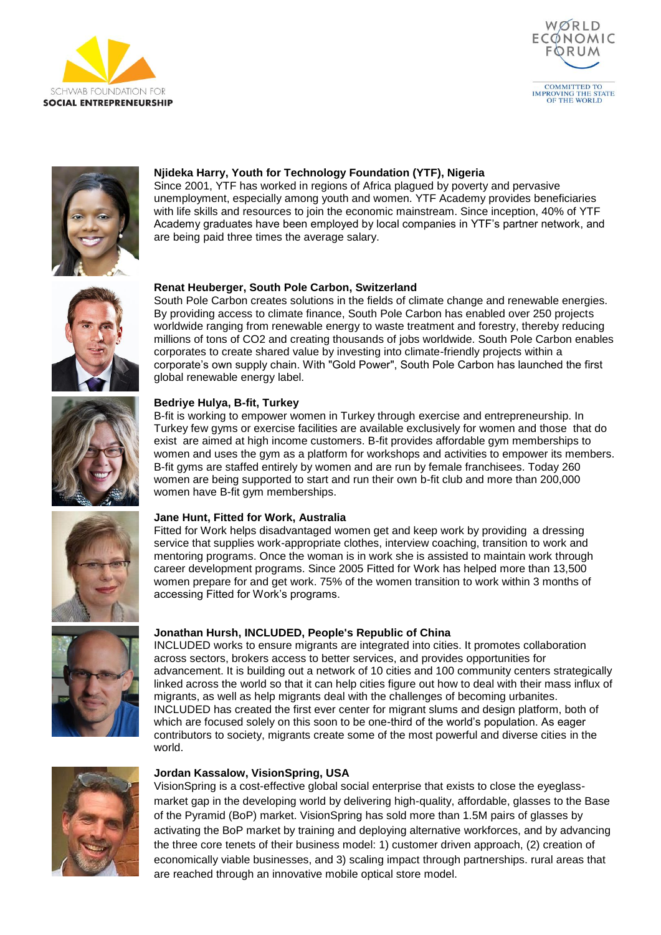





# **Njideka Harry, Youth for Technology Foundation (YTF), Nigeria**

Since 2001, YTF has worked in regions of Africa plagued by poverty and pervasive unemployment, especially among youth and women. YTF Academy provides beneficiaries with life skills and resources to join the economic mainstream. Since inception, 40% of YTF Academy graduates have been employed by local companies in YTF's partner network, and are being paid three times the average salary.



# **Renat Heuberger, South Pole Carbon, Switzerland**

South Pole Carbon creates solutions in the fields of climate change and renewable energies. By providing access to climate finance, South Pole Carbon has enabled over 250 projects worldwide ranging from renewable energy to waste treatment and forestry, thereby reducing millions of tons of CO2 and creating thousands of jobs worldwide. South Pole Carbon enables corporates to create shared value by investing into climate-friendly projects within a corporate's own supply chain. With "Gold Power", South Pole Carbon has launched the first global renewable energy label.

# **Bedriye Hulya, B-fit, Turkey**

B-fit is working to empower women in Turkey through exercise and entrepreneurship. In Turkey few gyms or exercise facilities are available exclusively for women and those that do exist are aimed at high income customers. B-fit provides affordable gym memberships to women and uses the gym as a platform for workshops and activities to empower its members. B-fit gyms are staffed entirely by women and are run by female franchisees. Today 260 women are being supported to start and run their own b-fit club and more than 200,000 women have B-fit gym memberships.

# **Jane Hunt, Fitted for Work, Australia**

Fitted for Work helps disadvantaged women get and keep work by providing a dressing service that supplies work-appropriate clothes, interview coaching, transition to work and mentoring programs. Once the woman is in work she is assisted to maintain work through career development programs. Since 2005 Fitted for Work has helped more than 13,500 women prepare for and get work. 75% of the women transition to work within 3 months of accessing Fitted for Work's programs.

# **Jonathan Hursh, INCLUDED, People's Republic of China**

INCLUDED works to ensure migrants are integrated into cities. It promotes collaboration across sectors, brokers access to better services, and provides opportunities for advancement. It is building out a network of 10 cities and 100 community centers strategically linked across the world so that it can help cities figure out how to deal with their mass influx of migrants, as well as help migrants deal with the challenges of becoming urbanites. INCLUDED has created the first ever center for migrant slums and design platform, both of which are focused solely on this soon to be one-third of the world's population. As eager contributors to society, migrants create some of the most powerful and diverse cities in the world.



# **Jordan Kassalow, VisionSpring, USA**

VisionSpring is a cost-effective global social enterprise that exists to close the eyeglassmarket gap in the developing world by delivering high-quality, affordable, glasses to the Base of the Pyramid (BoP) market. VisionSpring has sold more than 1.5M pairs of glasses by activating the BoP market by training and deploying alternative workforces, and by advancing the three core tenets of their business model: 1) customer driven approach, (2) creation of economically viable businesses, and 3) scaling impact through partnerships. rural areas that are reached through an innovative mobile optical store model.







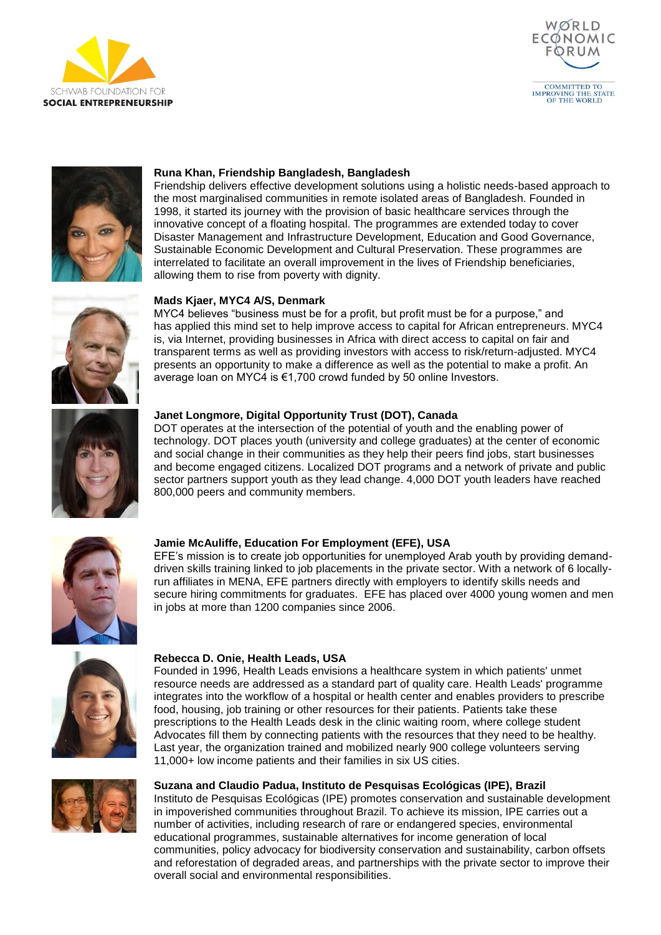





# **Runa Khan, Friendship Bangladesh, Bangladesh**

Friendship delivers effective development solutions using a holistic needs-based approach to the most marginalised communities in remote isolated areas of Bangladesh. Founded in 1998, it started its journey with the provision of basic healthcare services through the innovative concept of a floating hospital. The programmes are extended today to cover Disaster Management and Infrastructure Development, Education and Good Governance, Sustainable Economic Development and Cultural Preservation. These programmes are interrelated to facilitate an overall improvement in the lives of Friendship beneficiaries, allowing them to rise from poverty with dignity.

# **Mads Kjaer, MYC4 A/S, Denmark**

MYC4 believes "business must be for a profit, but profit must be for a purpose," and has applied this mind set to help improve access to capital for African entrepreneurs. MYC4 is, via Internet, providing businesses in Africa with direct access to capital on fair and transparent terms as well as providing investors with access to risk/return-adjusted. MYC4 presents an opportunity to make a difference as well as the potential to make a profit. An average loan on MYC4 is €1,700 crowd funded by 50 online Investors.



# **Janet Longmore, Digital Opportunity Trust (DOT), Canada**

DOT operates at the intersection of the potential of youth and the enabling power of technology. DOT places youth (university and college graduates) at the center of economic and social change in their communities as they help their peers find jobs, start businesses and become engaged citizens. Localized DOT programs and a network of private and public sector partners support youth as they lead change. 4,000 DOT youth leaders have reached 800,000 peers and community members.



# **Jamie McAuliffe, Education For Employment (EFE), USA**

EFE's mission is to create job opportunities for unemployed Arab youth by providing demanddriven skills training linked to job placements in the private sector. With a network of 6 locallyrun affiliates in MENA, EFE partners directly with employers to identify skills needs and secure hiring commitments for graduates. EFE has placed over 4000 young women and men in jobs at more than 1200 companies since 2006.



### **Rebecca D. Onie, Health Leads, USA**

Founded in 1996, Health Leads envisions a healthcare system in which patients' unmet resource needs are addressed as a standard part of quality care. Health Leads' programme integrates into the workflow of a hospital or health center and enables providers to prescribe food, housing, job training or other resources for their patients. Patients take these prescriptions to the Health Leads desk in the clinic waiting room, where college student Advocates fill them by connecting patients with the resources that they need to be healthy. Last year, the organization trained and mobilized nearly 900 college volunteers serving 11,000+ low income patients and their families in six US cities.



# **Suzana and Claudio Padua, Instituto de Pesquisas Ecológicas (IPE), Brazil**

Instituto de Pesquisas Ecológicas (IPE) promotes conservation and sustainable development in impoverished communities throughout Brazil. To achieve its mission, IPE carries out a number of activities, including research of rare or endangered species, environmental educational programmes, sustainable alternatives for income generation of local communities, policy advocacy for biodiversity conservation and sustainability, carbon offsets and reforestation of degraded areas, and partnerships with the private sector to improve their overall social and environmental responsibilities.